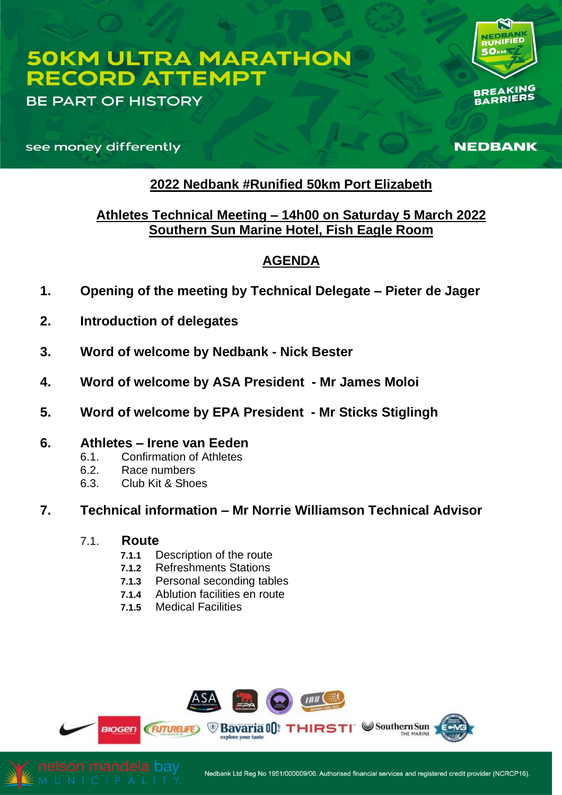# **50KM ULTRA MARATHON RECORD ATTEMPT**

**BE PART OF HISTORY** 

**BREAKING** ARRIERS

NEDBANK

see money differently

# **2022 Nedbank #Runified 50km Port Elizabeth**

# **Athletes Technical Meeting – 14h00 on Saturday 5 March 2022 Southern Sun Marine Hotel, Fish Eagle Room**

# **AGENDA**

- **1. Opening of the meeting by Technical Delegate – Pieter de Jager**
- **2. Introduction of delegates**
- **3. Word of welcome by Nedbank - Nick Bester**
- **4. Word of welcome by ASA President - Mr James Moloi**
- **5. Word of welcome by EPA President - Mr Sticks Stiglingh**
- **6. Athletes – Irene van Eeden**
	- 6.1. Confirmation of Athletes
	- 6.2. Race numbers
	- 6.3. Club Kit & Shoes
- **7. Technical information – Mr Norrie Williamson Technical Advisor**

## 7.1. **Route**

- **7.1.1** Description of the route
- **7.1.2** Refreshments Stations
- **7.1.3** Personal seconding tables
- **7.1.4** Ablution facilities en route
- **7.1.5** Medical Facilities